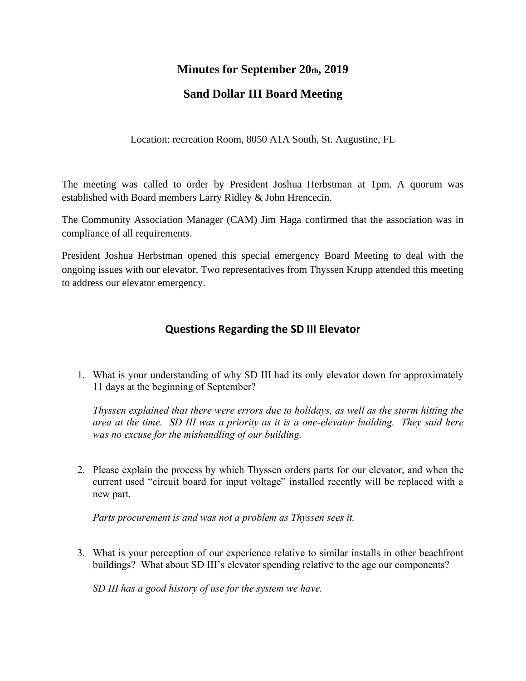## **Minutes for September 20th, 2019**

## **Sand Dollar III Board Meeting**

Location: recreation Room, 8050 A1A South, St. Augustine, FL

The meeting was called to order by President Joshua Herbstman at 1pm. A quorum was established with Board members Larry Ridley & John Hrencecin.

The Community Association Manager (CAM) Jim Haga confirmed that the association was in compliance of all requirements.

President Joshua Herbstman opened this special emergency Board Meeting to deal with the ongoing issues with our elevator. Two representatives from Thyssen Krupp attended this meeting to address our elevator emergency.

## **Questions Regarding the SD III Elevator**

1. What is your understanding of why SD III had its only elevator down for approximately 11 days at the beginning of September?

*Thyssen explained that there were errors due to holidays, as well as the storm hitting the area at the time. SD III was a priority as it is a one-elevator building. They said here was no excuse for the mishandling of our building.*

2. Please explain the process by which Thyssen orders parts for our elevator, and when the current used "circuit board for input voltage" installed recently will be replaced with a new part.

*Parts procurement is and was not a problem as Thyssen sees it.*

3. What is your perception of our experience relative to similar installs in other beachfront buildings? What about SD III's elevator spending relative to the age our components?

*SD III has a good history of use for the system we have.*